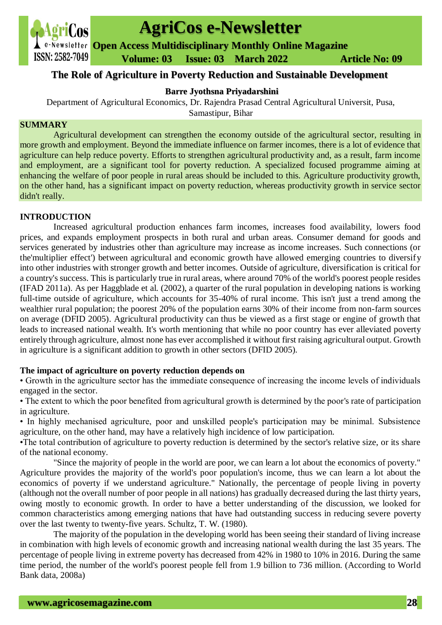

# **AgriCos e-Newsletter**

**Open Access Multidisciplinary Monthly Online Magazine**

 **Volume: 03 Issue: 03 March 2022 Article No: 09**

## **The Role of Agriculture in Poverty Reduction and Sustainable Development**

## **Barre Jyothsna Priyadarshini**

Department of Agricultural Economics, Dr. Rajendra Prasad Central Agricultural Universit, Pusa,

Samastipur, Bihar

#### **SUMMARY**

Agricultural development can strengthen the economy outside of the agricultural sector, resulting in more growth and employment. Beyond the immediate influence on farmer incomes, there is a lot of evidence that agriculture can help reduce poverty. Efforts to strengthen agricultural productivity and, as a result, farm income and employment, are a significant tool for poverty reduction. A specialized focused programme aiming at enhancing the welfare of poor people in rural areas should be included to this. Agriculture productivity growth, on the other hand, has a significant impact on poverty reduction, whereas productivity growth in service sector didn't really.

### **INTRODUCTION**

Increased agricultural production enhances farm incomes, increases food availability, lowers food prices, and expands employment prospects in both rural and urban areas. Consumer demand for goods and services generated by industries other than agriculture may increase as income increases. Such connections (or the'multiplier effect') between agricultural and economic growth have allowed emerging countries to diversify into other industries with stronger growth and better incomes. Outside of agriculture, diversification is critical for a country's success. This is particularly true in rural areas, where around 70% of the world's poorest people resides (IFAD 2011a). As per Haggblade et al. (2002), a quarter of the rural population in developing nations is working full-time outside of agriculture, which accounts for 35-40% of rural income. This isn't just a trend among the wealthier rural population; the poorest 20% of the population earns 30% of their income from non-farm sources on average (DFID 2005). Agricultural productivity can thus be viewed as a first stage or engine of growth that leads to increased national wealth. It's worth mentioning that while no poor country has ever alleviated poverty entirely through agriculture, almost none has ever accomplished it without first raising agricultural output. Growth in agriculture is a significant addition to growth in other sectors (DFID 2005).

### **The impact of agriculture on poverty reduction depends on**

• Growth in the agriculture sector has the immediate consequence of increasing the income levels of individuals engaged in the sector.

• The extent to which the poor benefited from agricultural growth is determined by the poor's rate of participation in agriculture.

• In highly mechanised agriculture, poor and unskilled people's participation may be minimal. Subsistence agriculture, on the other hand, may have a relatively high incidence of low participation.

•The total contribution of agriculture to poverty reduction is determined by the sector's relative size, or its share of the national economy.

"Since the majority of people in the world are poor, we can learn a lot about the economics of poverty." Agriculture provides the majority of the world's poor population's income, thus we can learn a lot about the economics of poverty if we understand agriculture." Nationally, the percentage of people living in poverty (although not the overall number of poor people in all nations) has gradually decreased during the last thirty years, owing mostly to economic growth. In order to have a better understanding of the discussion, we looked for common characteristics among emerging nations that have had outstanding success in reducing severe poverty over the last twenty to twenty-five years. Schultz, T. W. (1980).

The majority of the population in the developing world has been seeing their standard of living increase in combination with high levels of economic growth and increasing national wealth during the last 35 years. The percentage of people living in extreme poverty has decreased from 42% in 1980 to 10% in 2016. During the same time period, the number of the world's poorest people fell from 1.9 billion to 736 million. (According to World Bank data, 2008a)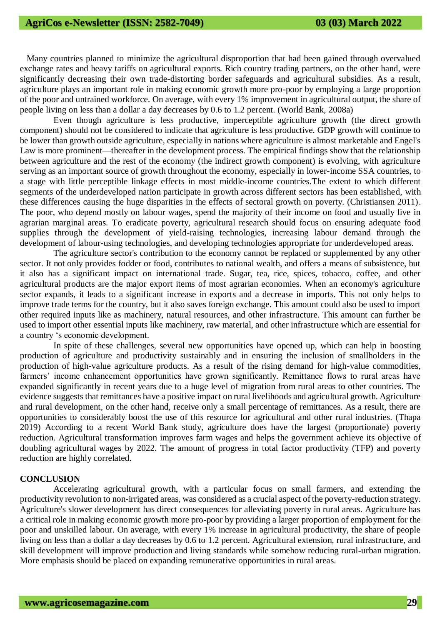Many countries planned to minimize the agricultural disproportion that had been gained through overvalued exchange rates and heavy tariffs on agricultural exports. Rich country trading partners, on the other hand, were significantly decreasing their own trade-distorting border safeguards and agricultural subsidies. As a result, agriculture plays an important role in making economic growth more pro-poor by employing a large proportion of the poor and untrained workforce. On average, with every 1% improvement in agricultural output, the share of people living on less than a dollar a day decreases by 0.6 to 1.2 percent. (World Bank, 2008a)

Even though agriculture is less productive, imperceptible agriculture growth (the direct growth component) should not be considered to indicate that agriculture is less productive. GDP growth will continue to be lower than growth outside agriculture, especially in nations where agriculture is almost marketable and Engel's Law is more prominent—thereafter in the development process. The empirical findings show that the relationship between agriculture and the rest of the economy (the indirect growth component) is evolving, with agriculture serving as an important source of growth throughout the economy, especially in lower-income SSA countries, to a stage with little perceptible linkage effects in most middle-income countries.The extent to which different segments of the underdeveloped nation participate in growth across different sectors has been established, with these differences causing the huge disparities in the effects of sectoral growth on poverty. (Christiansen 2011). The poor, who depend mostly on labour wages, spend the majority of their income on food and usually live in agrarian marginal areas. To eradicate poverty, agricultural research should focus on ensuring adequate food supplies through the development of yield-raising technologies, increasing labour demand through the development of labour-using technologies, and developing technologies appropriate for underdeveloped areas.

The agriculture sector's contribution to the economy cannot be replaced or supplemented by any other sector. It not only provides fodder or food, contributes to national wealth, and offers a means of subsistence, but it also has a significant impact on international trade. Sugar, tea, rice, spices, tobacco, coffee, and other agricultural products are the major export items of most agrarian economies. When an economy's agriculture sector expands, it leads to a significant increase in exports and a decrease in imports. This not only helps to improve trade terms for the country, but it also saves foreign exchange. This amount could also be used to import other required inputs like as machinery, natural resources, and other infrastructure. This amount can further be used to import other essential inputs like machinery, raw material, and other infrastructure which are essential for a country 's economic development.

 In spite of these challenges, several new opportunities have opened up, which can help in boosting production of agriculture and productivity sustainably and in ensuring the inclusion of smallholders in the production of high-value agriculture products. As a result of the rising demand for high-value commodities, farmers' income enhancement opportunities have grown significantly. Remittance flows to rural areas have expanded significantly in recent years due to a huge level of migration from rural areas to other countries. The evidence suggests that remittances have a positive impact on rural livelihoods and agricultural growth. Agriculture and rural development, on the other hand, receive only a small percentage of remittances. As a result, there are opportunities to considerably boost the use of this resource for agricultural and other rural industries. (Thapa 2019) According to a recent World Bank study, agriculture does have the largest (proportionate) poverty reduction. Agricultural transformation improves farm wages and helps the government achieve its objective of doubling agricultural wages by 2022. The amount of progress in total factor productivity (TFP) and poverty reduction are highly correlated.

#### **CONCLUSION**

Accelerating agricultural growth, with a particular focus on small farmers, and extending the productivity revolution to non-irrigated areas, was considered as a crucial aspect of the poverty-reduction strategy. Agriculture's slower development has direct consequences for alleviating poverty in rural areas. Agriculture has a critical role in making economic growth more pro-poor by providing a larger proportion of employment for the poor and unskilled labour. On average, with every 1% increase in agricultural productivity, the share of people living on less than a dollar a day decreases by 0.6 to 1.2 percent. Agricultural extension, rural infrastructure, and skill development will improve production and living standards while somehow reducing rural-urban migration. More emphasis should be placed on expanding remunerative opportunities in rural areas.